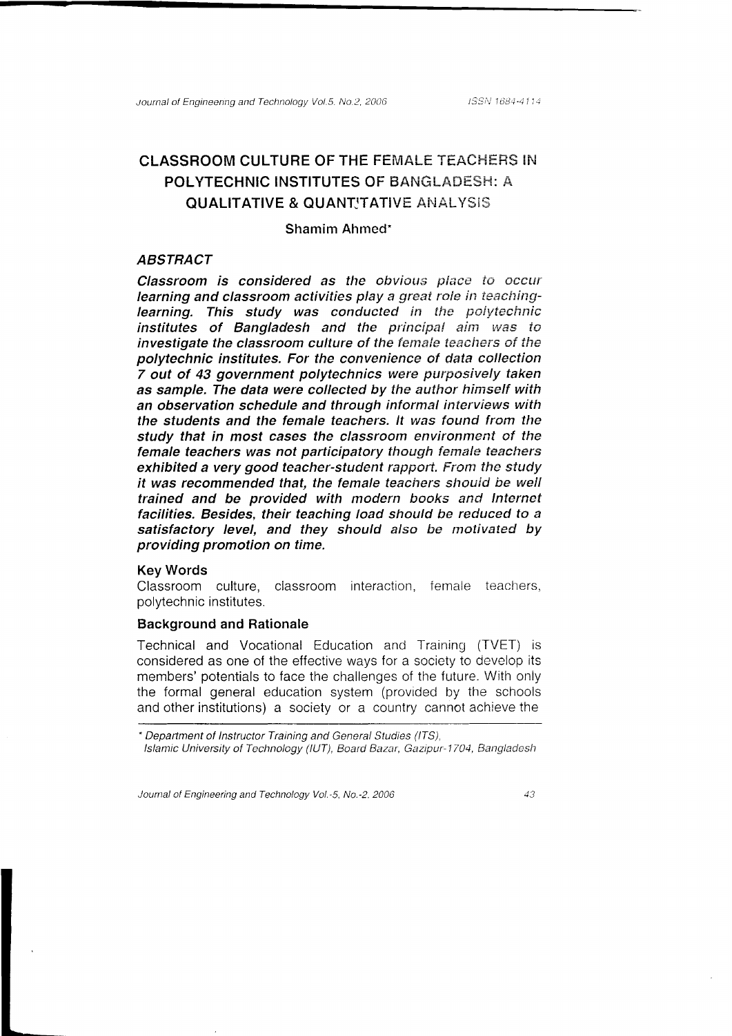# **CLASSROOM CULTURE OF THE FEMALE TEACHERS IN** POLYTECHNIC INSTITUTES OF BANGLADESH: A **QUALITATIVE & QUANT'TATIVE ANALYSIS**

#### Shamim Ahmed\*

#### **ABSTRACT**

Classroom is considered as the obvious place to occur learning and classroom activities play a great role in teachinglearning. This study was conducted in the polytechnic institutes of Bangladesh and the principal aim was to investigate the classroom culture of the female teachers of the polytechnic institutes. For the convenience of data collection 7 out of 43 government polytechnics were purposively taken as sample. The data were collected by the author himself with an observation schedule and through informal interviews with the students and the female teachers. It was found from the study that in most cases the classroom environment of the female teachers was not participatory though female teachers exhibited a very good teacher-student rapport. From the study it was recommended that, the female teachers should be well trained and be provided with modern books and Internet facilities. Besides, their teaching load should be reduced to a satisfactory level, and they should also be motivated by providing promotion on time.

#### **Kev Words**

Classroom culture, classroom interaction, female teachers, polytechnic institutes.

### **Background and Rationale**

Technical and Vocational Education and Training (TVET) is considered as one of the effective ways for a society to develop its members' potentials to face the challenges of the future. With only the formal general education system (provided by the schools and other institutions) a society or a country cannot achieve the

\* Department of Instructor Training and General Studies (ITS),

Islamic University of Technology (IUT), Board Bazar, Gazipur-1704, Bangladesh

Journal of Engineering and Technology Vol.-5, No.-2, 2006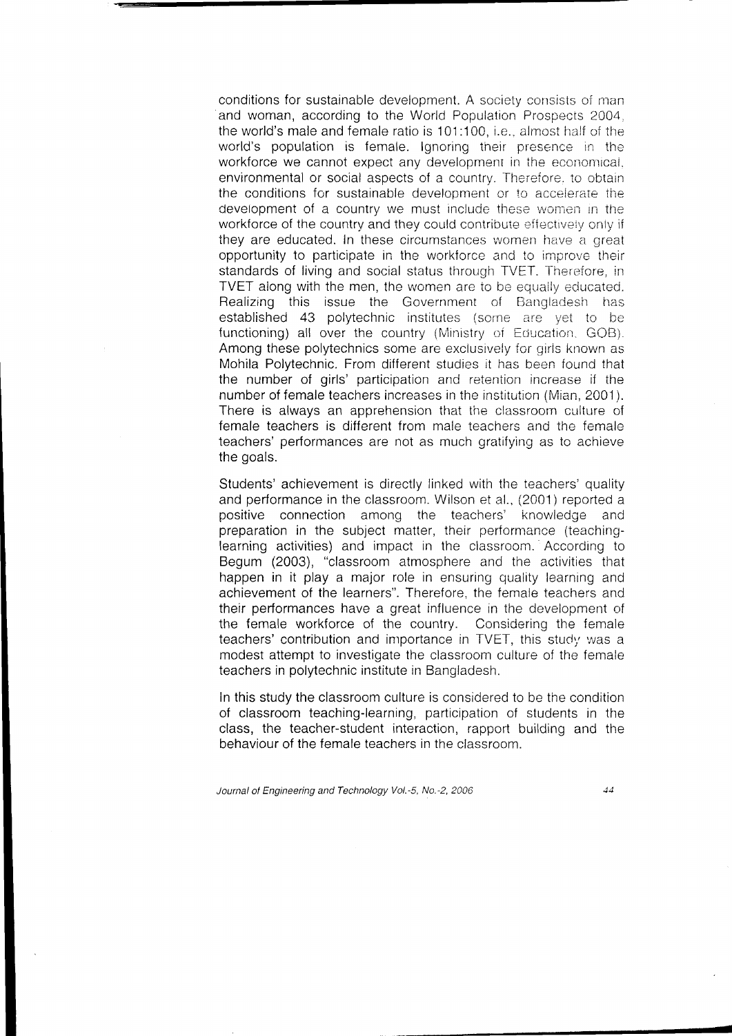conditions for sustainable development. A society consists of man and woman, according to the World Population Prospects 2004. the world's male and female ratio is 101:100, i.e., almost half of the world's population is female. Ignoring their presence in the workforce we cannot expect any development in the economical. environmental or social aspects of a country. Therefore, to obtain the conditions for sustainable development or to accelerate the development of a country we must include these women in the workforce of the country and they could contribute effectively only if they are educated. In these circumstances women have a great opportunity to participate in the workforce and to improve their standards of living and social status through TVET. Therefore, in TVET along with the men, the women are to be equally educated. Realizing this issue the Government of Bangladesh has established 43 polytechnic institutes (some are yet to be functioning) all over the country (Ministry of Education, GOB). Among these polytechnics some are exclusively for girls known as Mohila Polytechnic. From different studies it has been found that the number of girls' participation and retention increase if the number of female teachers increases in the institution (Mian, 2001). There is always an apprehension that the classroom culture of female teachers is different from male teachers and the female teachers' performances are not as much gratifying as to achieve the goals.

Students' achievement is directly linked with the teachers' quality and performance in the classroom. Wilson et al., (2001) reported a positive connection among the teachers' knowledge and preparation in the subject matter, their performance (teachinglearning activities) and impact in the classroom. According to Begum (2003), "classroom atmosphere and the activities that happen in it play a major role in ensuring quality learning and achievement of the learners". Therefore, the female teachers and their performances have a great influence in the development of the female workforce of the country. Considering the female teachers' contribution and importance in TVET, this study was a modest attempt to investigate the classroom culture of the female teachers in polytechnic institute in Bangladesh.

In this study the classroom culture is considered to be the condition of classroom teaching-learning, participation of students in the class, the teacher-student interaction, rapport building and the behaviour of the female teachers in the classroom.

Journal of Engineering and Technology Vol.-5, No.-2, 2006

 $\overline{d}$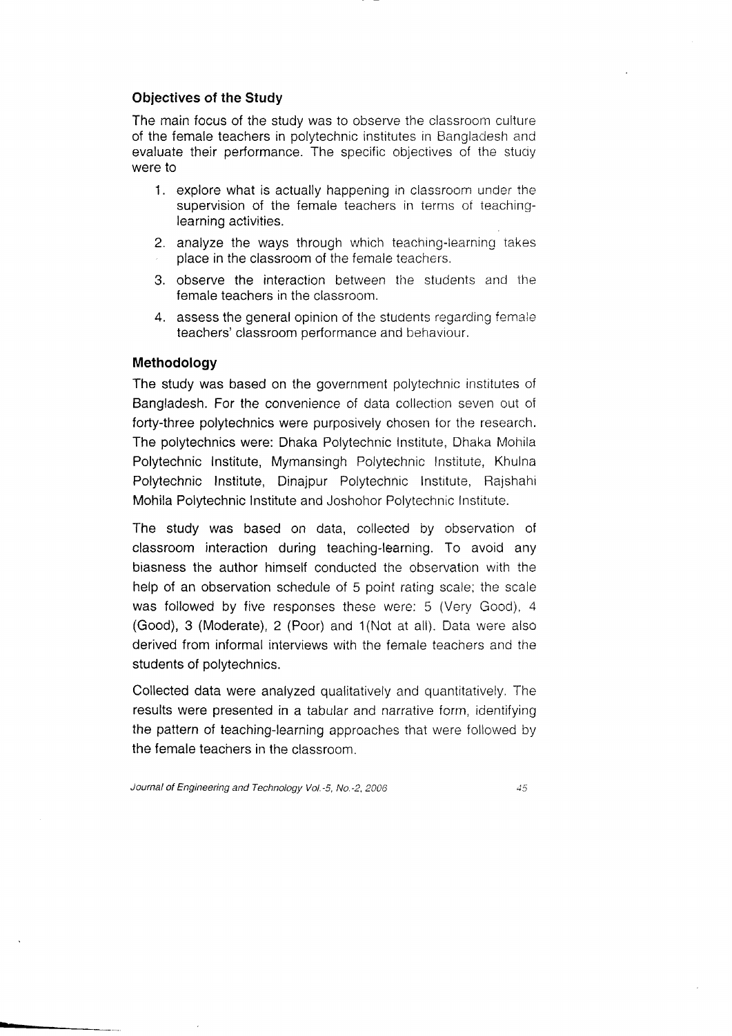### Objectives of the Study

The main focus of the study was to observe the classroom culture of the female teachers in polytechnic institutes in Bangladesh and evaluate their performance. The specific objectives of the study were to

- 1. explore what is actually happening in classroom under the supervision of the female teachers in terms ot teachinglearning activities.
- 2. analyze the ways through which teaching-learning takes place in the classroom of the female teachers.
- 3. observe the interaction between the students and the female teachers in the classroom.
- 4. assess the general opinion of the students regarding femaie teachers' classroom oerformance and behaviour.

#### Methodology

The study was based on the government polytechnic institutes of Bangladesh. For the convenience of data collection seven out o{ forty-three polytechnics were purposively chosen for the research. The polytechnics were: Dhaka Polytechnic Institute, Dhaka Mohila Polytechnic Institute, Mymansingh Polytechnic Institute, Khulna Polytechnic Institute, Dinajpur Polytechnic Institute, Rajshahi Mohila Polytechnic Institute and Joshohor Polytechnic Institute.

The study was based on data, collected by observation of classroom interaction during teaching-learning. To avoid any biasness the author himself conducted the observation with the help of an observation schedule of 5 point rating scale; the scale was followed by five responses these were: 5 (Very Good), 4 (Good), 3 (Moderate), 2 (Poor) and '1(Not at all). Dala were also derived from informal interviews with the female teachers and the students of polytechnics.

Collected data were analyzed qualitatively and quantitatively. The results were presented in a tabular and narrative form, identifying the pattern of teaching-learning approaches ihat were iollowed by the female teachers in the classroom.

Journal of Engineering and Technology Vol.-5, No.-2, 2006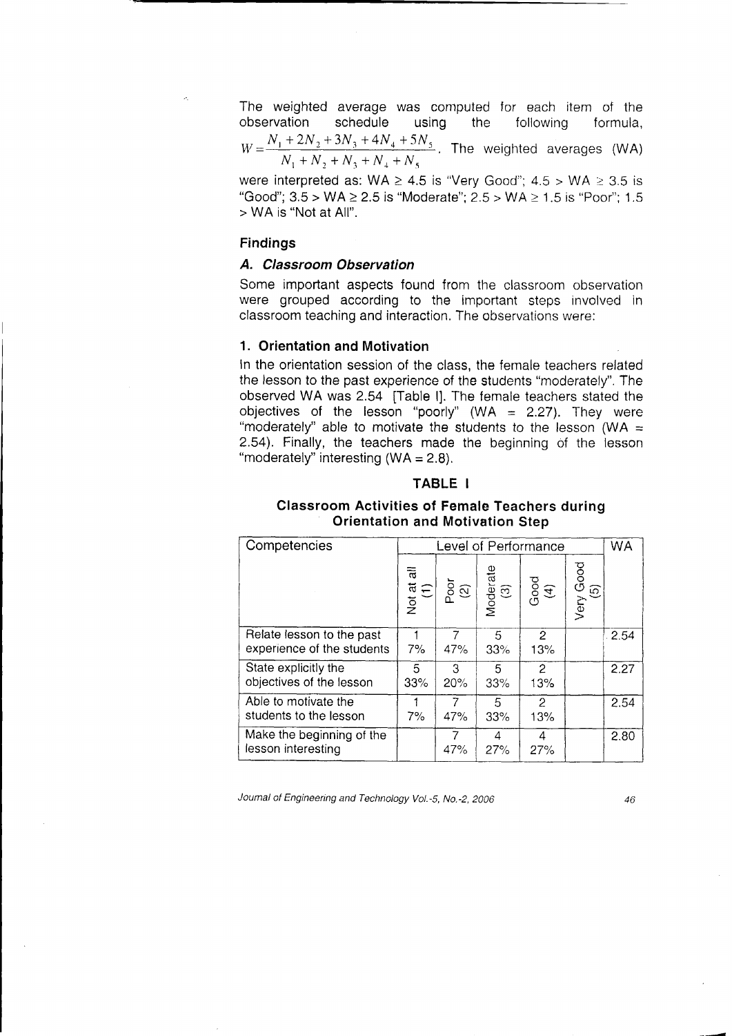The weighted average was computed for each item of the observation schedule using the following formula,  $W=\frac{N_1+2N_2+3N_3+4N_4+5N_5}{N_1+2N_2+3N_3+4N_4+5N_5}$ . The weighted averages (WA)  $N_1+N_2+N_3+N_4+i$ 

were interpreted as: WA  $\geq$  4.5 is "Very Good"; 4.5 > WA  $\geq$  3.5 is "Good";  $3.5 > WA \ge 2.5$  is "Moderate";  $2.5 > WA \ge 1.5$  is "Poor";  $1.5$ > WA is "Not at All".

### Findings

### A. Classroom Observation

Some important aspects found from the classroom observation were grouped according to the important steps involved in classroom teaching and interaction. The observations were:

#### 1. Orientation and Motivation

In the orientation session of the class. the female teachers related the lesson to the past experience of the students "moderately". The observed WA was 2.54 [Table l]. The female teachers stated the objectives of the lesson "poorly" (WA =  $2.27$ ). They were "moderately" able to motivate the students to the lesson (WA  $=$ 2.54). Finally, the teachers made the beginning of the lesson "moderately" interesting  $(WA = 2.8)$ .

#### TABLE I

## Classroom Activities of Female Teachers during Orientation and Motivation Step

| Competencies                                            |                   | Level of Performance |                 |                       |                    |      |
|---------------------------------------------------------|-------------------|----------------------|-----------------|-----------------------|--------------------|------|
|                                                         | Not at all<br>(1) | $\frac{5}{2}$        | Moderate<br>(3) | $Good$<br>(4)         | Good<br>ဂြ<br>Very |      |
| Relate lesson to the past<br>experience of the students | 7%                | 47%                  | 5<br>33%        | $\overline{2}$<br>13% |                    | 2.54 |
| State explicitly the<br>objectives of the lesson        | 5<br>33%          | 3<br>20%             | 5<br>33%        | 2<br>13%              |                    | 2.27 |
| Able to motivate the<br>students to the lesson          | 7%                | 47%                  | 5<br>33%        | 2<br>13%              |                    | 2.54 |
| Make the beginning of the<br>lesson interesting         |                   | 7<br>47%             | 4<br>27%        | 4<br>27%              |                    | 2.80 |

Journal of Engineering and Technology Vol.-5, No.-2, 2006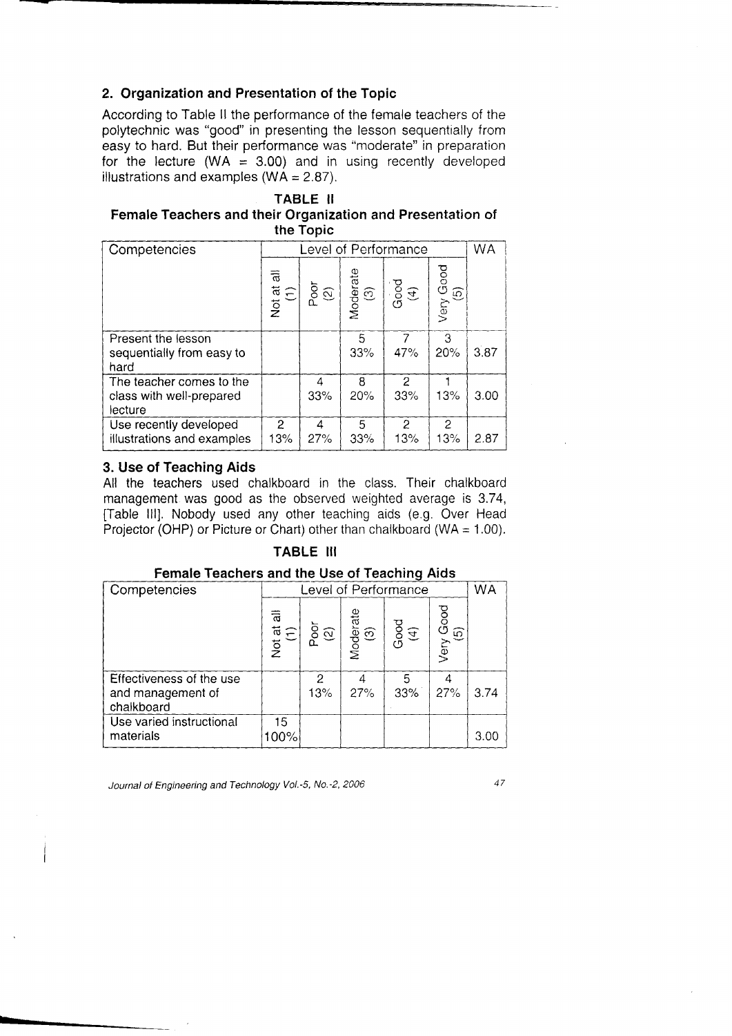# 2. Qrganization and Presentation of the Topic

According to Table ll the performance of the female teachers of the polytechnic was "good" in presenting the lesson sequentially from easy to hard. But their performance was "moderate" in preparation for the lecture (WA =  $3.00$ ) and in using recently developed illustrations and examples ( $WA = 2.87$ ).

### TABLE II Female Teachers and their Organization and Presentation of the Topic

| Competencies               |                   | Level of Performance |                 |      |                                          |      |
|----------------------------|-------------------|----------------------|-----------------|------|------------------------------------------|------|
|                            | Not at all<br>(1) | $\frac{1}{2}$        | Moderate<br>(3) | Good | Good<br>$\widehat{\mathfrak{g}}$<br>Very |      |
| Present the lesson         |                   |                      | 5               |      | З                                        |      |
| sequentially from easy to  |                   |                      | 33%             | 47%  | 20%                                      | 3.87 |
| hard                       |                   |                      |                 |      |                                          |      |
| The teacher comes to the   |                   | 4                    | 8               | 2    |                                          |      |
| class with well-prepared   |                   | 33%                  | 20%             | 33%  | 13%                                      | 3.00 |
| lecture                    |                   |                      |                 |      |                                          |      |
| Use recently developed     | 2                 | 4                    | 5               | 2    | 2                                        |      |
| illustrations and examples | 13%               | 27%                  | 33%             | 13%  | 13%                                      | 2.87 |

### 3. Use of Teaching Aids

All the teachers used chalkboard in the class. Their chalkboard management was good as the observed weighted average is 3.74, [Table lll]. Nobody used any other teaching aids (e.9. Over Head Projector (OHP) or Picture or Chart) other than chalkboard (WA =  $1.00$ ).

### TABLE III

| Competencies                                                | Level of Performance |               |                     |          |                                          |      |
|-------------------------------------------------------------|----------------------|---------------|---------------------|----------|------------------------------------------|------|
|                                                             | Not at all<br>(1)    | $\frac{5}{2}$ | Moderate<br>(3)<br> | Good     | Good<br>$\widehat{\mathfrak{g}}$<br>Very |      |
| Effectiveness of the use<br>and management of<br>chalkboard |                      | 2<br>13%      | 27%                 | 5<br>33% | 27%                                      | 3.74 |
| Use varied instructional<br>materials                       | 15<br>00%            |               |                     |          |                                          | 3.00 |

### Female Teachers and the Use of Teaching Aids

Journal of Engineering and Technology Vol.-5, No.-2, 2006

 $\overline{47}$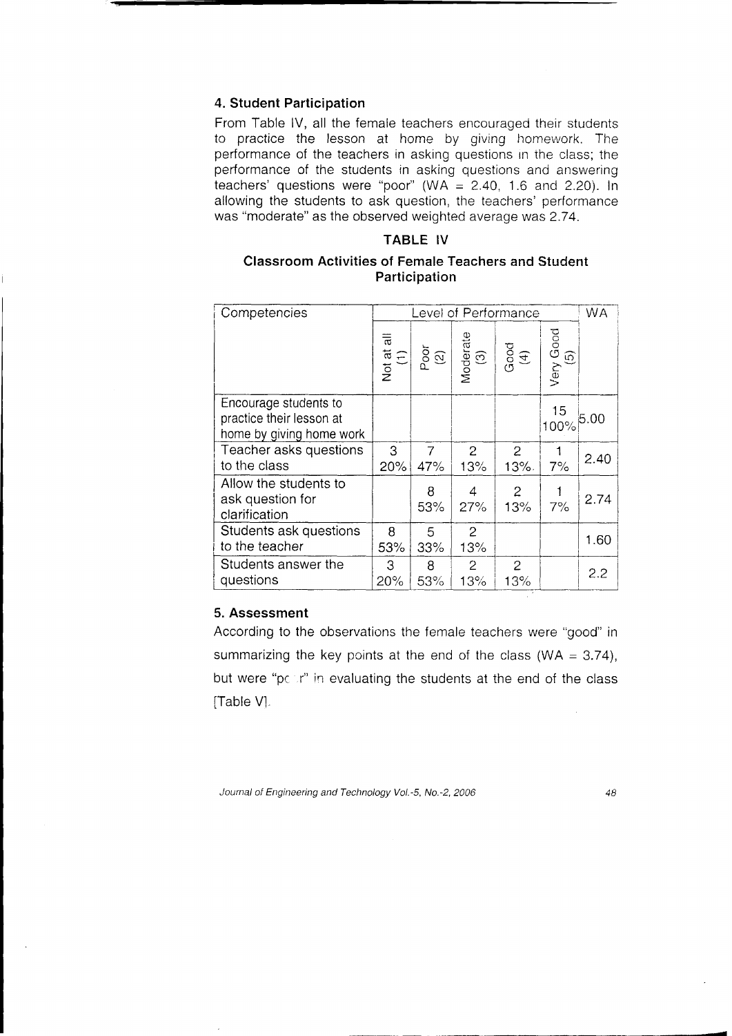### 4. Student Participation

From Table IV, all the female teachers encouraged their students to practice the lesson at home by giving homework. The performance of the teachers in asking questions in the class; the performance of the students in asking questions and answering teachers' questions were "poor" (WA =  $2.40$ , 1.6 and 2.20). In allowing the students to ask question, the teachers' performance was "moderate" as the observed weighted average was 2.74.

# TABLE IV

# **Classroom Activities of Female Teachers and Student** Participation

| Competencies                                                                  |                   |                                                |                 | Level of Performance |                  | <b>WA</b> |
|-------------------------------------------------------------------------------|-------------------|------------------------------------------------|-----------------|----------------------|------------------|-----------|
|                                                                               | Not at all<br>(1) | $\begin{bmatrix} P & 0 \\ 0 & 1 \end{bmatrix}$ | Moderate<br>(3) | $\text{Good}$ (4)    | Very Good<br>(5) |           |
| Encourage students to<br>practice their lesson at<br>home by giving home work |                   |                                                |                 |                      | 15<br>100%       | 5.00      |
| Teacher asks questions                                                        | 3                 | $\overline{7}$                                 | $\overline{2}$  | $\overline{2}$       |                  | 2.40      |
| to the class                                                                  | 20%               | 47%                                            | 13%             | 13%.                 | 7%               |           |
| Allow the students to<br>ask question for<br>clarification                    |                   | 8<br>53%                                       | 4<br>27%        | $\mathbf{2}$<br>13%  | 7%               | 2.74      |
| Students ask questions                                                        | 8                 | 5                                              | $\overline{2}$  |                      |                  |           |
| to the teacher                                                                | 53%               | 33%                                            | 13%             |                      |                  | 1.60      |
| Students answer the                                                           | 3                 | 8                                              | $\overline{2}$  | $\overline{2}$       |                  | 2.2       |
| questions                                                                     | 20%               | 53%                                            | 13%             | 13%                  |                  |           |

## 5. Assessment

According to the observations the female teachers were "good" in summarizing the key points at the end of the class (WA =  $3.74$ ), but were "pour" in evaluating the students at the end of the class [Table V].

Journal of Engineering and Technology Vol.-5, No.-2, 2006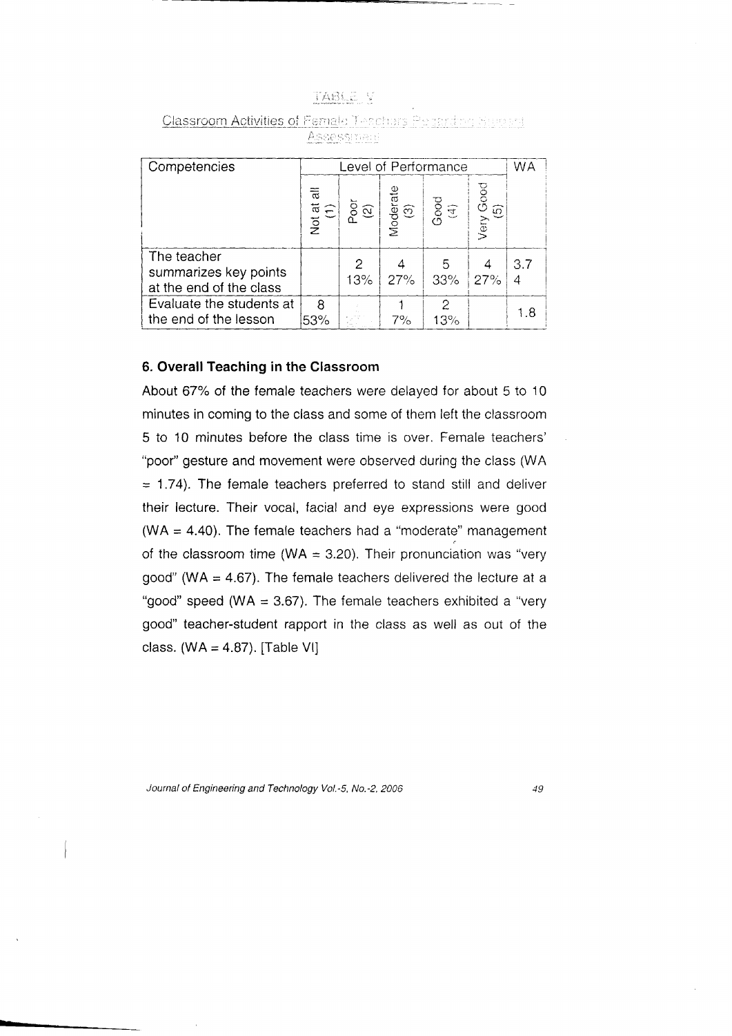| н. | ï                                                     | ×.       | 1.14               | V. |
|----|-------------------------------------------------------|----------|--------------------|----|
|    |                                                       |          | ××                 | í, |
| ŷ  | mit Kur<br>Electric dissipation from Contract 1985-22 | я.<br>u. | <b>Meno</b><br>115 |    |

| Competencies                                                    |                   | Level of Performance        |                 |                      |                                                 |     |
|-----------------------------------------------------------------|-------------------|-----------------------------|-----------------|----------------------|-------------------------------------------------|-----|
|                                                                 | Not at all<br>(1) | $\bar{\mathrm{g}}$ $\alpha$ | Moderate<br>(3) | $\frac{1}{\sqrt{1}}$ | <b>Good</b><br>$\widehat{\mathfrak{G}}$<br>Very |     |
| The teacher<br>summarizes key points<br>at the end of the class |                   | 13%                         | 27%             | 5<br>33%             | 27%                                             | 3.7 |
| Evaluate the students at<br>the end of the lesson               | 8<br>53%          |                             | 7%              | 2<br>13%             |                                                 | 1.8 |

Classroom Activities of Female Teachers Peganding Surport Assessment

### 6. Overall Teaching in the Classroom

About 67% of the female teachers were delayed for about 5 to 10 minutes in coming to the class and some of them left the classroom 5 to 10 minutes before the class time is over. Female teachers' "poor" gesture and movement were observed during the class (WA  $=$  1.74). The female teachers preferred to stand still and deliver their lecture. Their vocal, facial and eye expressions were good (WA = 4.40). The female teachers had a "moderate" management of the classroom time (WA = 3.20). Their pronunciation was "very good" (WA =  $4.67$ ). The female teachers delivered the lecture at a "good" speed (WA =  $3.67$ ). The female teachers exhibited a "very good" teacher-student rapport in the class as well as out of the class.  $(WA = 4.87)$ . [Table VI]

Journal of Engineering and Technology Vol.-5, No.-2, 2006

 $\blacksquare$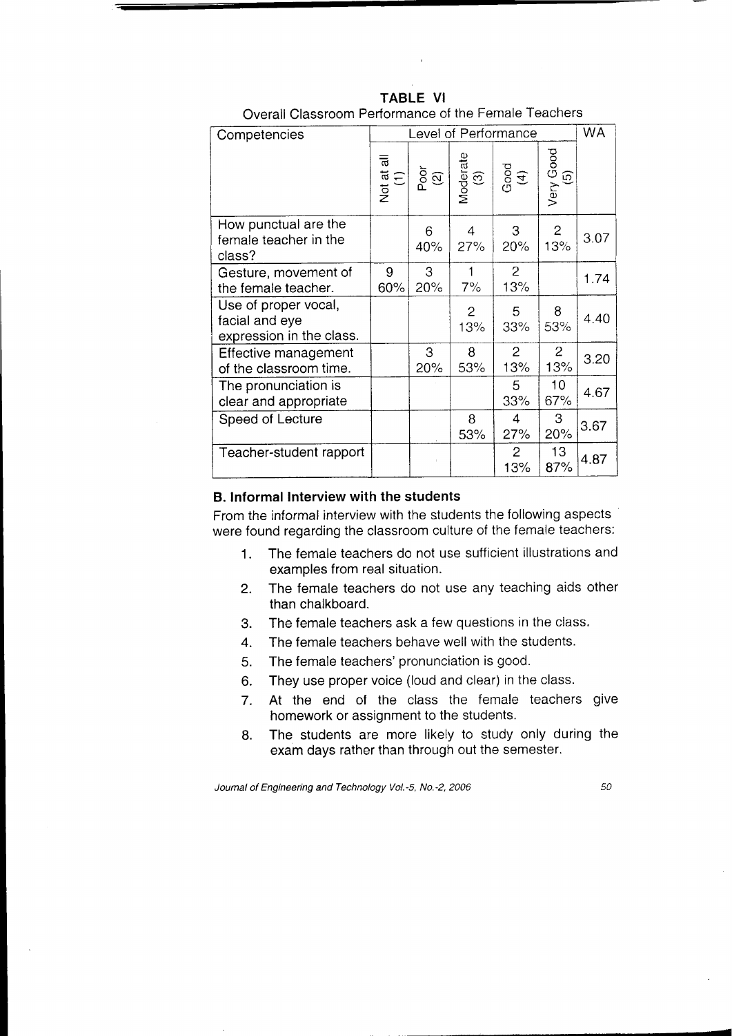| Competencies                                                       |                   | Level of Performance |                       |                       |                       |      |  |
|--------------------------------------------------------------------|-------------------|----------------------|-----------------------|-----------------------|-----------------------|------|--|
|                                                                    | Not at all<br>(1) | Poor                 | Moderate<br>(3)       | Good                  | Very Good<br>(5)      |      |  |
| How punctual are the<br>female teacher in the<br>class?            |                   | 6<br>40%             | 4<br>27%              | 3<br>20%              | $\mathbf{2}$<br>13%   | 3.07 |  |
| Gesture, movement of<br>the female teacher.                        | 9<br>60%          | 3<br>20%             | 1<br>7%               | $\mathbf{2}$<br>13%   |                       | 1.74 |  |
| Use of proper vocal,<br>facial and eye<br>expression in the class. |                   |                      | $\overline{2}$<br>13% | 5<br>33%              | 8<br>53%              | 4.40 |  |
| Effective management<br>of the classroom time.                     |                   | 3<br>20%             | 8<br>53%              | $\overline{2}$<br>13% | $\overline{c}$<br>13% | 3.20 |  |
| The pronunciation is<br>clear and appropriate                      |                   |                      |                       | 5<br>33%              | 10<br>67%             | 4.67 |  |
| Speed of Lecture                                                   |                   |                      | 8<br>53%              | 4<br>27%              | 3<br>20%              | 3.67 |  |
| Teacher-student rapport                                            |                   |                      |                       | $\overline{2}$<br>13% | 13<br>87%             | 4.87 |  |

**TABLE VI** Overall Classroom Performance of the Female Teachers

#### B. Informal Interview with the students

From the informal interview with the students the following aspects were found regarding the classroom culture of the female teachers:

- The female teachers do not use sufficient illustrations and  $1<sub>1</sub>$ examples from real situation.
- The female teachers do not use any teaching aids other  $2<sup>1</sup>$ than chalkboard.
- The female teachers ask a few questions in the class.  $3.$
- The female teachers behave well with the students.  $\overline{4}$ .
- The female teachers' pronunciation is good. 5.
- They use proper voice (loud and clear) in the class. 6.
- At the end of the class the female teachers give  $7.$ homework or assignment to the students.
- The students are more likely to study only during the 8. exam days rather than through out the semester.

Journal of Engineering and Technology Vol.-5, No.-2, 2006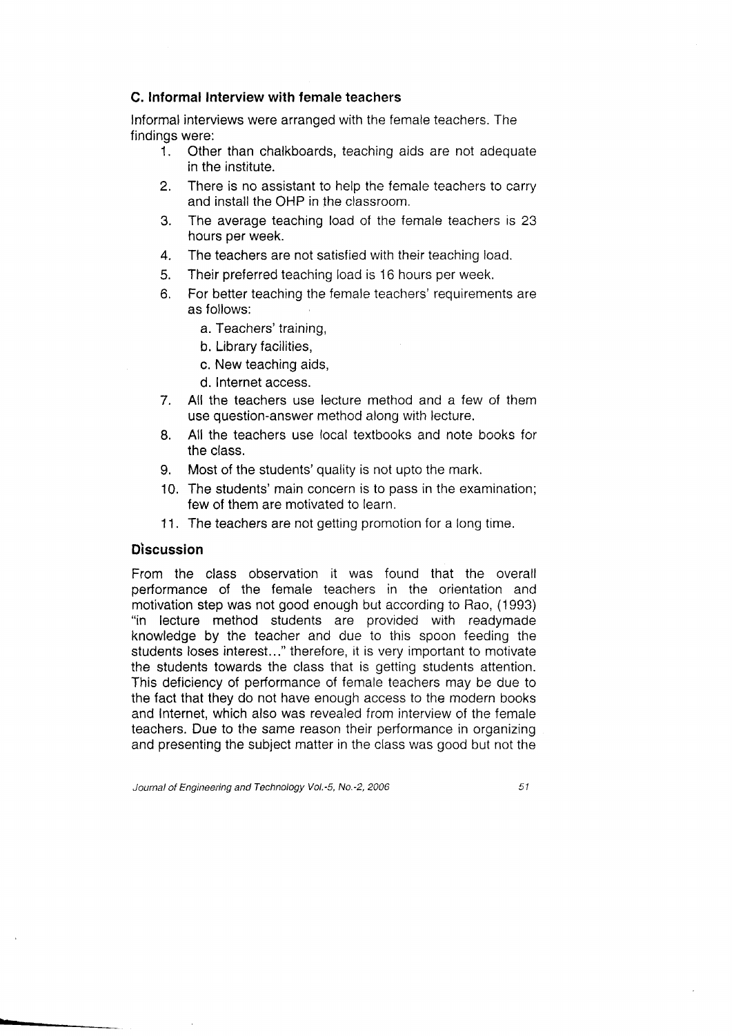### C. Informal Interview with female teachers

Informal interviews were arranged with the female teachers. The findings were:

- 1. Other than chalkboards, teaching aids are not adequate in the institute.
- 2. There is no assistant to help the female teachers to carry and install the OHP in the classroom.
- 3. The average teaching load of the female teachers is 23 hours per week.
- 4. The teachers are not satisfied with their teaching load.
- 5. Their preferred teaching load is 16 hours per week.
- 6. For better teaching the female teachers' requirements are as follows:
	- a. Teachers' training,
	- b. Library facilities,
	- c. New teaching aids,
	- d. lnternet access.
- 7. All the teachers use lecture method and a few of them use question-answer method along with lecture.
- 8. All the teachers use local textbooks and note books for the class.
- 9. Most of the students'quality is not upto the mark.
- 10. The students'main concern is to pass in the examination; few of them are motivated to learn.
- 11. The teachers are not getting promotion for a long time.

### **Discussion**

From the class observation it was found that the overall performance of the female teachers in the orientation and motivation step was not good enough but according to Rao, (1993) "in lecture method students are provided with readymade knowledge by the teacher and due to this spoon feeding the students loses interest..." therefore, it is very important to motivate the students towards the class that is getting students attention. This deficiency of performance of female teachers may be due to the fact that they do not have enough access to the modern books and Internet, which also was revealed from interview of the female teachers. Due to the same reason their performance in organizing and presenting the subject matter in the class was good but not the

Journal of Engineering and Technology Vol.-5, No.-2, 2006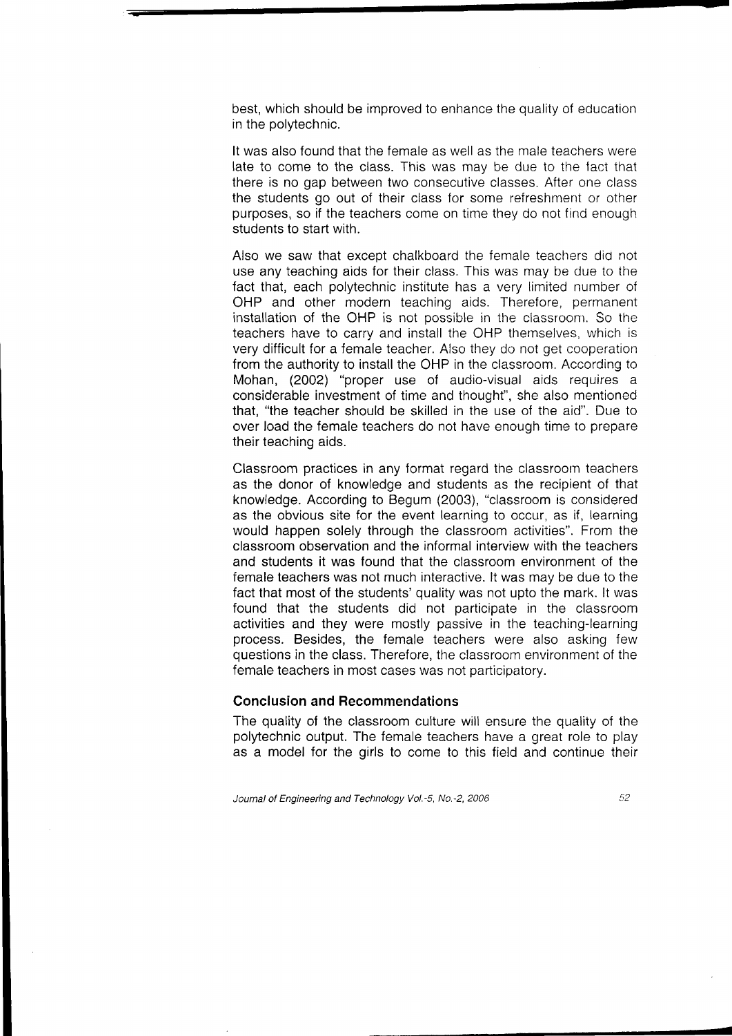best, which should be improved to enhance the quality of education in the polytechnic.

It was also found that the female as well as the male teachers ware late to come to the class. This was may be due to the fact that there is no gap between two consecutive classes. After one class the students go out of their class for some refreshment or other purposes, so if the teachers come on time they do not find enough students to start with.

Also we saw that except chalkboard the female teachers did not use any teaching aids for their class. This was may be due to the fact that, each polytechnic institute has a very limited number of OHP and other modern teaching aids. Therefore, permanent installation of the OHP is not possible in the classroom. So the teachers have to carry and install the OHP themselves, which is very difficult for a female teacher. Also they do not get cooperation from the authority to install the OHP in the classroom. According to Mohan, (2002) "proper use of audio-visual aids requires a considerable investment of time and thought", she also mentioned that, "the teacher should be skilled in the use of the aid". Due to over load the female teachers do not have enough time to prepare their teaching aids.

Classroom practices in any format regard the classroom teachers as the donor of knowledge and students as the recipient of that knowledge. According to Begum (2003), "classroom is considered as the obvious site for the event learning to occur, as if, learning would happen solely through the classroom activities". From the classroom observation and the informal interview with the teachers and students it was found that the classroom environment of the female teachers was not much interactive. lt was may be due to the fact that most of the students' quality was not upto the mark. lt was found that the students did not participate in the classroom activities and they were mostly passive in the teaching-learning process. Besides, the female teachers were also asking few questions in the class. Therefore, the classroom environment of the female teachers in most cases was not participatory.

#### Conclusion and Recommendations

The quality of the classroom culture will ensure the quality of the polytechnic output. The female teachers have a great role to play as a model for the girls to come to this field and continue their

Journal of Engineering and Technology Vol.-5, No.-2, 2006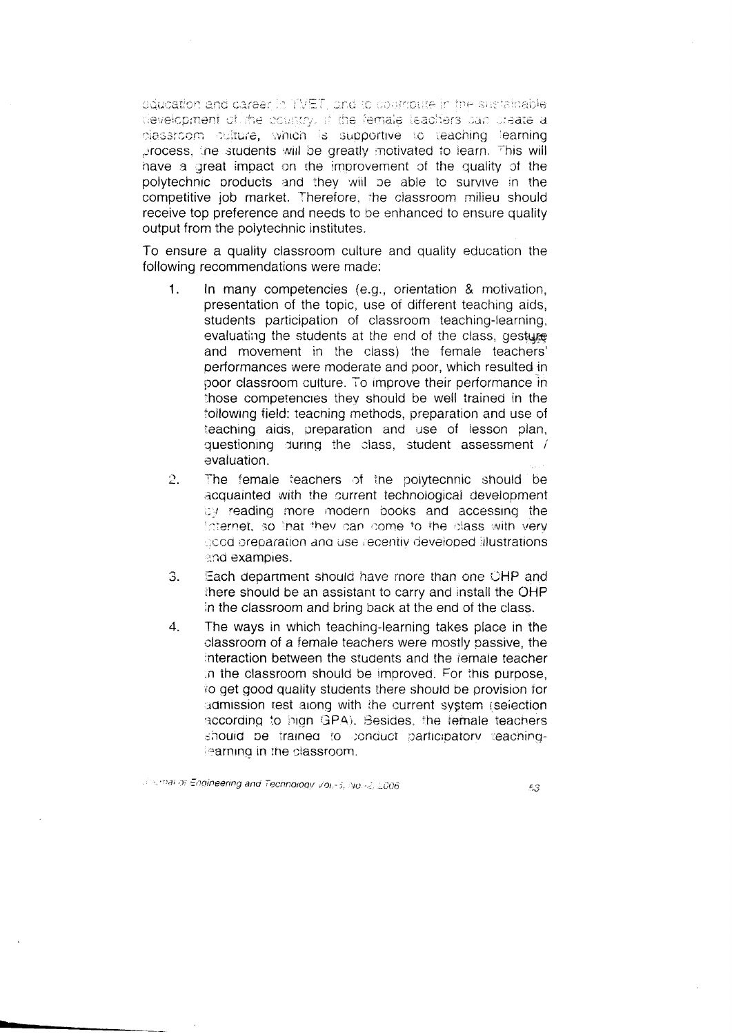equeation and career in TVET, and to coompute in the sustainable. development of the country, if the female teachers can create a plassroom culture, which is supportive to teaching learning process, the students will be greatly motivated to learn. This will have a great impact on the improvement of the quality of the polytechnic products and they will be able to survive in the competitive iob market. Therefore, the classroom milieu should receive top preference and needs to be enhanced to ensure quality output from the polytechnic institutes.

To ensure a quality classroom culture and quality education the following recommendations were made:

- $\mathbf{1}$ . In many competencies (e.g., orientation & motivation, presentation of the topic, use of different teaching aids, students participation of classroom teaching-learning, evaluating the students at the end of the class, gesture and movement in the class) the female teachers' performances were moderate and poor, which resulted in poor classroom culture. To improve their performance in those competencies they should be well trained in the following field: teaching methods, preparation and use of teaching aids, preparation and use of lesson plan, questioning during the class, student assessment / evaluation.
- $2.$ The female teachers of the polytechnic should be acquainted with the current technological development by reading more modern books and accessing the Internet, so that they can come to the class with very acod preparation and use recentiv developed illustrations. and examples.
- Each department should have more than one OHP and 3. there should be an assistant to carry and install the OHP in the classroom and bring back at the end of the class.
- The ways in which teaching-learning takes place in the  $4.$ classroom of a female teachers were mostly passive, the interaction between the students and the female teacher in the classroom should be improved. For this purpose, to get good quality students there should be provision for admission test along with the current system (selection according to high GPA). Besides, the temale teachers should be trained to conduct participatory teaching-Fearning in the classroom.

Journal of Engineering and Technology Vol. - 5, No. - 2, 2006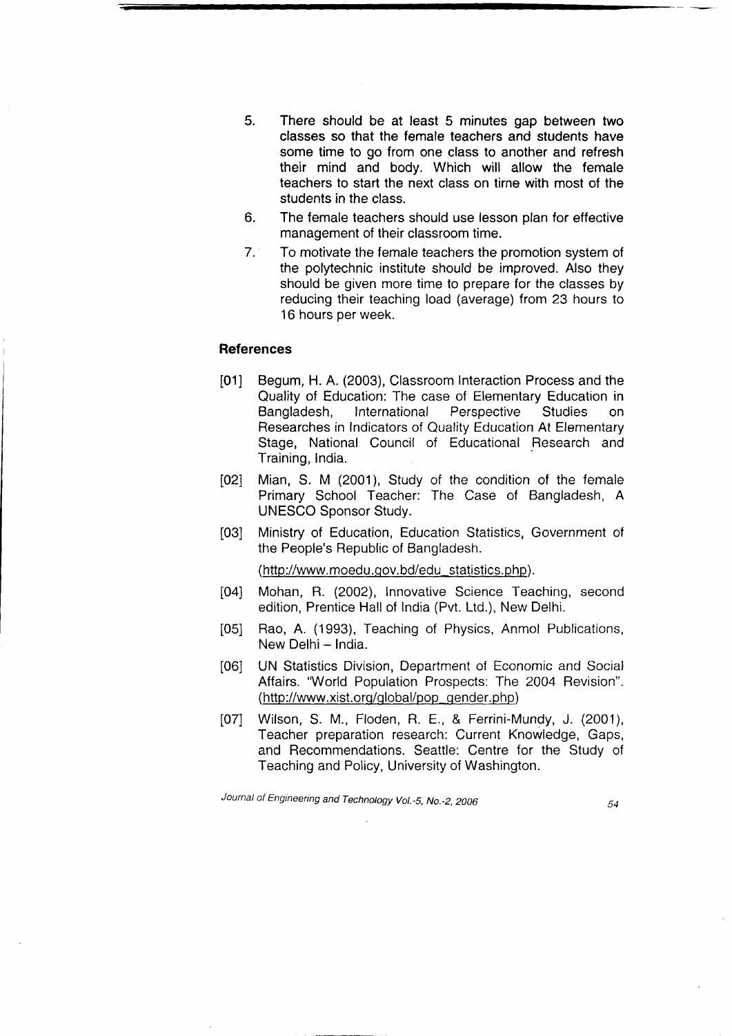- There should be at least 5 minutes gap between two classes so that the female teachers and students have some time to go from one class to another and refresh their mind and body. Which will allow the female teachers to start the next class on tirne with most of the students in the class. 5.
- The female teachers should use lesson plan for effective management of their classroom time. 6.
- To motivate the female teachers the promotion system of the polytechnic institute should be improved. Also they should be given more time to prepare for the classes by reducing their teaching load (average) from 23 hours to 16 hours per week. 7.

#### References

- [01] Begum, H. A. (2003), Classroom lnteraction Process and the Quality of Education: The case of Elementary Education in Bangladesh, International Perspective Studies on Researches in Indicators of Quality Education At Elementary Stage, National Council of Educational Research and Training, India.
- [02] Mian, S. M (2001), Study of the condition of the female Primary School Teacher: The Case of Bangladesh, A UNESCO Sponsor Study.
- [03] Ministry of Education, Education Statistics, Government of the People's Republic of Bangladesh.

(http://www.moedu.gov.bd/edu\_statistics.php).

- 104] Mohan, R. (2002), Innovative Science Teaching, second edition, Prentice Hall of lndia (Pvt. Ltd.), New Delhi.
- [05] Rao, A. (1993), Teaching of Physics, Anmol Publications, New Delhi - India.
- [06] UN Statistics Division, Department of Economic and Social Affairs. 'World Population Prospects: The 2QO4 Revision". (http://www.xist.org/global/pop\_gender.php)
- [07] Wilson, S. M., Floden, R. E., & Ferrini-Mundy, J. (2001), Teacher preparation research: Current Knowledge, Gaps, and Recommendations. Seattle: Centre for the Studv of Teaching and Policy, University of Washington.

Journal of Engineering and Technology Vol.-5, No.-2, 2006